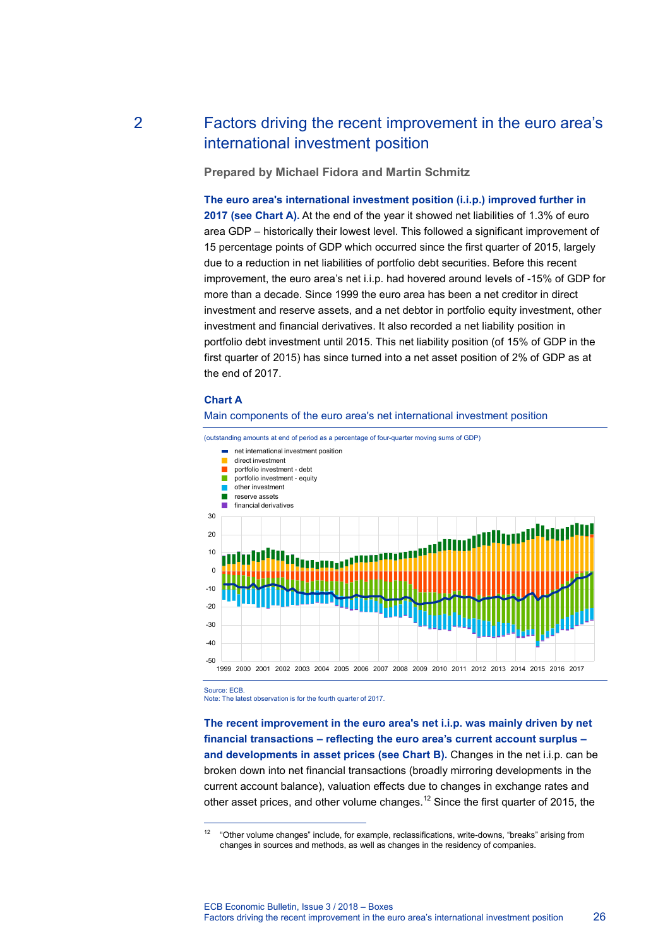# 2 Factors driving the recent improvement in the euro area's international investment position

**Prepared by Michael Fidora and Martin Schmitz**

**The euro area's international investment position (i.i.p.) improved further in**  2017 (see Chart A). At the end of the year it showed net liabilities of 1.3% of euro area GDP – historically their lowest level. This followed a significant improvement of 15 percentage points of GDP which occurred since the first quarter of 2015, largely due to a reduction in net liabilities of portfolio debt securities. Before this recent improvement, the euro area's net i.i.p. had hovered around levels of -15% of GDP for more than a decade. Since 1999 the euro area has been a net creditor in direct investment and reserve assets, and a net debtor in portfolio equity investment, other investment and financial derivatives. It also recorded a net liability position in portfolio debt investment until 2015. This net liability position (of 15% of GDP in the first quarter of 2015) has since turned into a net asset position of 2% of GDP as at the end of 2017.

## **Chart A**



(outstanding amounts at end of period as a percentage of four-quarter moving sums of GDP)



Source: ECB.

-

Note: The latest observation is for the fourth quarter of 2017.

**The recent improvement in the euro area's net i.i.p. was mainly driven by net financial transactions – reflecting the euro area's current account surplus – and developments in asset prices (see Chart B).** Changes in the net i.i.p. can be broken down into net financial transactions (broadly mirroring developments in the current account balance), valuation effects due to changes in exchange rates and other asset prices, and other volume changes.<sup>12</sup> Since the first quarter of 2015, the

<sup>&</sup>lt;sup>12</sup> "Other volume changes" include, for example, reclassifications, write-downs, "breaks" arising from changes in sources and methods, as well as changes in the residency of companies.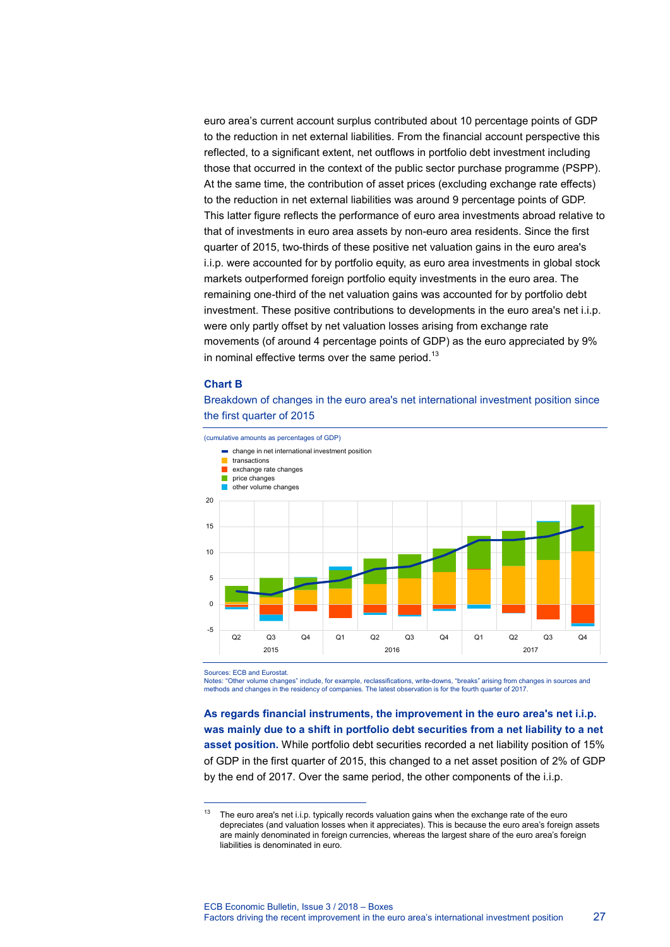euro area's current account surplus contributed about 10 percentage points of GDP to the reduction in net external liabilities. From the financial account perspective this reflected, to a significant extent, net outflows in portfolio debt investment including those that occurred in the context of the public sector purchase programme (PSPP). At the same time, the contribution of asset prices (excluding exchange rate effects) to the reduction in net external liabilities was around 9 percentage points of GDP. This latter figure reflects the performance of euro area investments abroad relative to that of investments in euro area assets by non-euro area residents. Since the first quarter of 2015, two-thirds of these positive net valuation gains in the euro area's i.i.p. were accounted for by portfolio equity, as euro area investments in global stock markets outperformed foreign portfolio equity investments in the euro area. The remaining one-third of the net valuation gains was accounted for by portfolio debt investment. These positive contributions to developments in the euro area's net i.i.p. were only partly offset by net valuation losses arising from exchange rate movements (of around 4 percentage points of GDP) as the euro appreciated by 9% in nominal effective terms over the same period. $^{13}$ 

#### **Chart B**

Breakdown of changes in the euro area's net international investment position since the first quarter of 2015

(cumulative amounts as percentages of GDP) change in net international investment position transactions exchange rate changes П price changes other volume changes 20 15 10 5 0 -5 Q2 Q3 Q4 Q1 Q2 Q3 Q4 Q1 Q2 Q3 Q4 2015 2016 2017

Sources: ECB and Eurostat.

-

Notes: "Other volume changes" include, for example, reclassifications, write-downs, "breaks" arising from changes in sources and methods and changes in the residency of companies. The latest observation is for the fourth quarter of 2017.

**As regards financial instruments, the improvement in the euro area's net i.i.p. was mainly due to a shift in portfolio debt securities from a net liability to a net asset position.** While portfolio debt securities recorded a net liability position of 15% of GDP in the first quarter of 2015, this changed to a net asset position of 2% of GDP by the end of 2017. Over the same period, the other components of the i.i.p.

<sup>&</sup>lt;sup>13</sup> The euro area's net i.i.p. typically records valuation gains when the exchange rate of the euro depreciates (and valuation losses when it appreciates). This is because the euro area's foreign assets are mainly denominated in foreign currencies, whereas the largest share of the euro area's foreign liabilities is denominated in euro.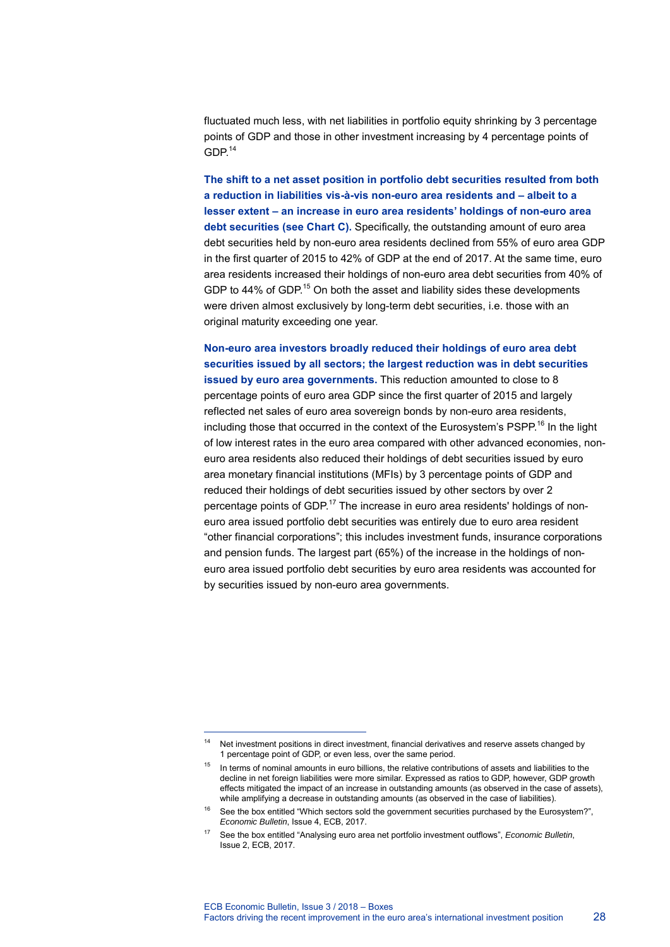fluctuated much less, with net liabilities in portfolio equity shrinking by 3 percentage points of GDP and those in other investment increasing by 4 percentage points of  $GDP<sup>14</sup>$ 

**The shift to a net asset position in portfolio debt securities resulted from both a reduction in liabilities vis-à-vis non-euro area residents and – albeit to a lesser extent – an increase in euro area residents' holdings of non-euro area debt securities (see Chart C).** Specifically, the outstanding amount of euro area debt securities held by non-euro area residents declined from 55% of euro area GDP in the first quarter of 2015 to 42% of GDP at the end of 2017. At the same time, euro area residents increased their holdings of non-euro area debt securities from 40% of GDP to 44% of GDP.<sup>15</sup> On both the asset and liability sides these developments were driven almost exclusively by long-term debt securities, i.e. those with an original maturity exceeding one year.

**Non-euro area investors broadly reduced their holdings of euro area debt securities issued by all sectors; the largest reduction was in debt securities issued by euro area governments.** This reduction amounted to close to 8 percentage points of euro area GDP since the first quarter of 2015 and largely reflected net sales of euro area sovereign bonds by non-euro area residents, including those that occurred in the context of the Eurosystem's PSPP.<sup>16</sup> In the light of low interest rates in the euro area compared with other advanced economies, noneuro area residents also reduced their holdings of debt securities issued by euro area monetary financial institutions (MFIs) by 3 percentage points of GDP and reduced their holdings of debt securities issued by other sectors by over 2 percentage points of GDP.<sup>17</sup> The increase in euro area residents' holdings of noneuro area issued portfolio debt securities was entirely due to euro area resident "other financial corporations"; this includes investment funds, insurance corporations and pension funds. The largest part (65%) of the increase in the holdings of noneuro area issued portfolio debt securities by euro area residents was accounted for by securities issued by non-euro area governments.

-

<sup>&</sup>lt;sup>14</sup> Net investment positions in direct investment, financial derivatives and reserve assets changed by 1 percentage point of GDP, or even less, over the same period.

<sup>&</sup>lt;sup>15</sup> In terms of nominal amounts in euro billions, the relative contributions of assets and liabilities to the decline in net foreign liabilities were more similar. Expressed as ratios to GDP, however, GDP growth effects mitigated the impact of an increase in outstanding amounts (as observed in the case of assets), while amplifying a decrease in outstanding amounts (as observed in the case of liabilities).

<sup>&</sup>lt;sup>16</sup> See the box entitled "Which sectors sold the government securities purchased by the Eurosystem?", *Economic Bulletin*, Issue 4, ECB, 2017.

<sup>17</sup> See the box entitled "Analysing euro area net portfolio investment outflows", *Economic Bulletin*, Issue 2, ECB, 2017.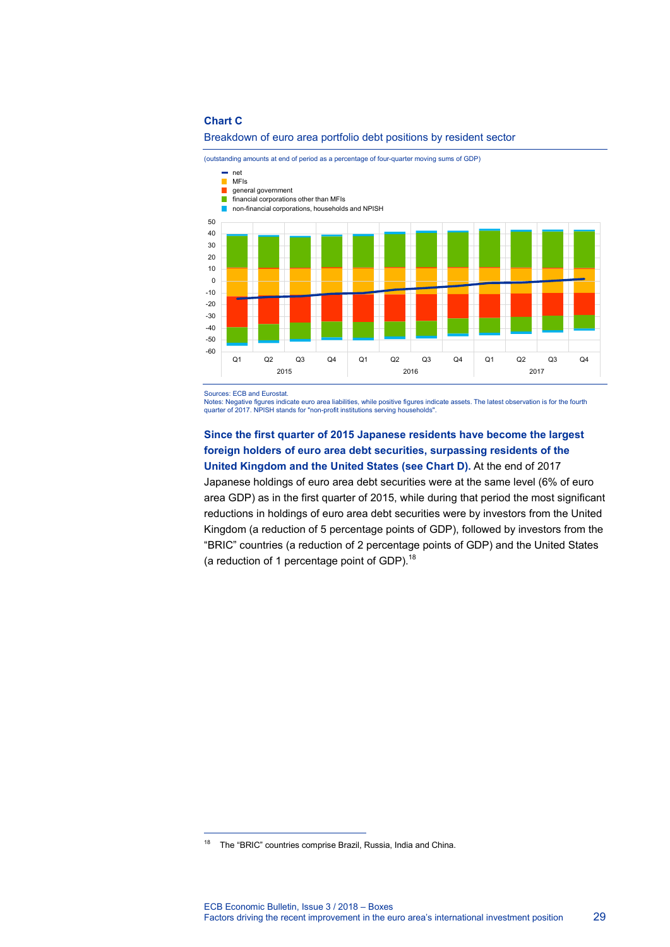#### **Chart C**



(outstanding amounts at end of period as a percentage of four-quarter moving sums of GDP)



Sources: ECB and Eurostat.

Notes: Negative figures indicate euro area liabilities, while positive figures indicate assets. The latest observation is for the fourth quarter of 2017. NPISH stands for "non-profit institutions serving households".

# **Since the first quarter of 2015 Japanese residents have become the largest foreign holders of euro area debt securities, surpassing residents of the United Kingdom and the United States (see Chart D).** At the end of 2017

Japanese holdings of euro area debt securities were at the same level (6% of euro area GDP) as in the first quarter of 2015, while during that period the most significant reductions in holdings of euro area debt securities were by investors from the United Kingdom (a reduction of 5 percentage points of GDP), followed by investors from the "BRIC" countries (a reduction of 2 percentage points of GDP) and the United States (a reduction of 1 percentage point of GDP). $^{18}$ 

-

<sup>18</sup> The "BRIC" countries comprise Brazil, Russia, India and China.